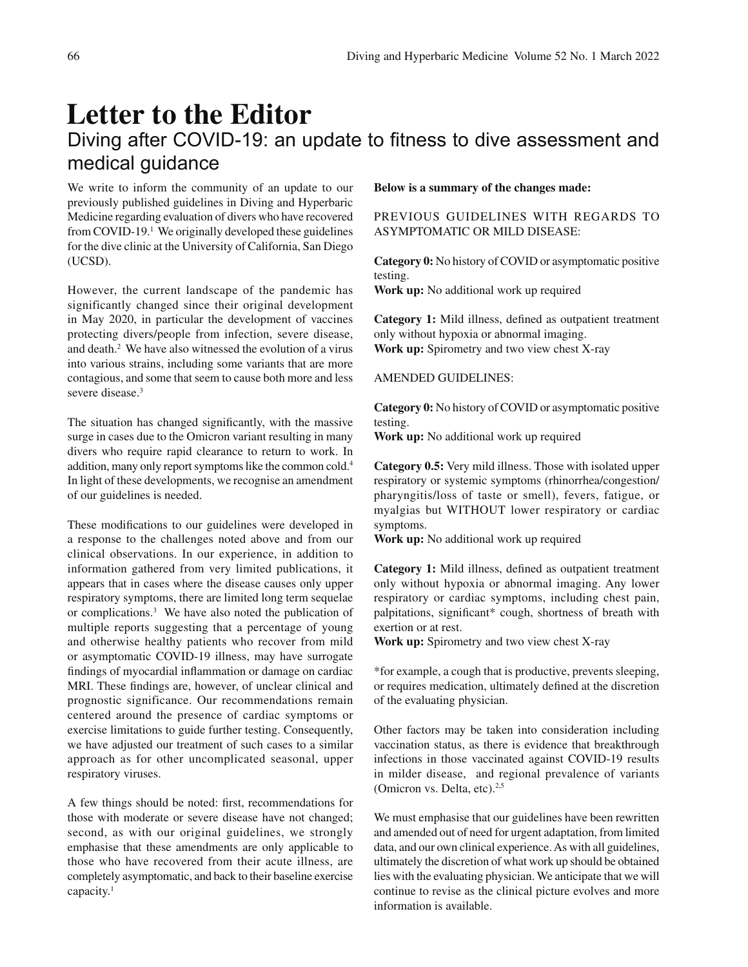# **Letter to the Editor** Diving after COVID-19: an update to fitness to dive assessment and medical guidance

We write to inform the community of an update to our previously published guidelines in Diving and Hyperbaric Medicine regarding evaluation of divers who have recovered from COVID-19.<sup>1</sup> We originally developed these guidelines for the dive clinic at the University of California, San Diego (UCSD).

However, the current landscape of the pandemic has significantly changed since their original development in May 2020, in particular the development of vaccines protecting divers/people from infection, severe disease, and death.2 We have also witnessed the evolution of a virus into various strains, including some variants that are more contagious, and some that seem to cause both more and less severe disease.<sup>3</sup>

The situation has changed significantly, with the massive surge in cases due to the Omicron variant resulting in many divers who require rapid clearance to return to work. In addition, many only report symptoms like the common cold.4 In light of these developments, we recognise an amendment of our guidelines is needed.

These modifications to our guidelines were developed in a response to the challenges noted above and from our clinical observations. In our experience, in addition to information gathered from very limited publications, it appears that in cases where the disease causes only upper respiratory symptoms, there are limited long term sequelae or complications.3 We have also noted the publication of multiple reports suggesting that a percentage of young and otherwise healthy patients who recover from mild or asymptomatic COVID-19 illness, may have surrogate findings of myocardial inflammation or damage on cardiac MRI. These findings are, however, of unclear clinical and prognostic significance. Our recommendations remain centered around the presence of cardiac symptoms or exercise limitations to guide further testing. Consequently, we have adjusted our treatment of such cases to a similar approach as for other uncomplicated seasonal, upper respiratory viruses.

A few things should be noted: first, recommendations for those with moderate or severe disease have not changed; second, as with our original guidelines, we strongly emphasise that these amendments are only applicable to those who have recovered from their acute illness, are completely asymptomatic, and back to their baseline exercise capacity.1

### **Below is a summary of the changes made:**

## PREVIOUS GUIDELINES WITH REGARDS TO ASYMPTOMATIC OR MILD DISEASE:

**Category 0:** No history of COVID or asymptomatic positive testing.

**Work up:** No additional work up required

**Category 1:** Mild illness, defined as outpatient treatment only without hypoxia or abnormal imaging. **Work up:** Spirometry and two view chest X-ray

#### AMENDED GUIDELINES:

**Category 0:** No history of COVID or asymptomatic positive testing.

**Work up:** No additional work up required

**Category 0.5:** Very mild illness. Those with isolated upper respiratory or systemic symptoms (rhinorrhea/congestion/ pharyngitis/loss of taste or smell), fevers, fatigue, or myalgias but WITHOUT lower respiratory or cardiac symptoms.

**Work up:** No additional work up required

Category 1: Mild illness, defined as outpatient treatment only without hypoxia or abnormal imaging. Any lower respiratory or cardiac symptoms, including chest pain, palpitations, significant\* cough, shortness of breath with exertion or at rest.

**Work up:** Spirometry and two view chest X-ray

\*for example, a cough that is productive, prevents sleeping, or requires medication, ultimately defined at the discretion of the evaluating physician.

Other factors may be taken into consideration including vaccination status, as there is evidence that breakthrough infections in those vaccinated against COVID-19 results in milder disease, and regional prevalence of variants (Omicron vs. Delta, etc).<sup>2,5</sup>

We must emphasise that our guidelines have been rewritten and amended out of need for urgent adaptation, from limited data, and our own clinical experience. As with all guidelines, ultimately the discretion of what work up should be obtained lies with the evaluating physician. We anticipate that we will continue to revise as the clinical picture evolves and more information is available.